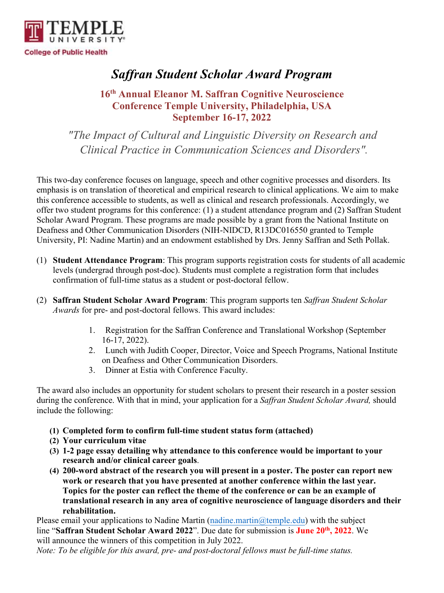

# *Saffran Student Scholar Award Program*

## **16th Annual Eleanor M. Saffran Cognitive Neuroscience Conference Temple University, Philadelphia, USA September 16-17, 2022**

*"The Impact of Cultural and Linguistic Diversity on Research and Clinical Practice in Communication Sciences and Disorders".*

This two-day conference focuses on language, speech and other cognitive processes and disorders. Its emphasis is on translation of theoretical and empirical research to clinical applications. We aim to make this conference accessible to students, as well as clinical and research professionals. Accordingly, we offer two student programs for this conference: (1) a student attendance program and (2) Saffran Student Scholar Award Program. These programs are made possible by a grant from the National Institute on Deafness and Other Communication Disorders (NIH-NIDCD, R13DC016550 granted to Temple University, PI: Nadine Martin) and an endowment established by Drs. Jenny Saffran and Seth Pollak.

- (1) **Student Attendance Program**: This program supports registration costs for students of all academic levels (undergrad through post-doc). Students must complete a registration form that includes confirmation of full-time status as a student or post-doctoral fellow.
- (2) **Saffran Student Scholar Award Program**: This program supports ten *Saffran Student Scholar Awards* for pre- and post-doctoral fellows. This award includes:
	- 1. Registration for the Saffran Conference and Translational Workshop (September 16-17, 2022).
	- 2. Lunch with Judith Cooper, Director, Voice and Speech Programs, National Institute on Deafness and Other Communication Disorders.
	- 3. Dinner at Estia with Conference Faculty.

The award also includes an opportunity for student scholars to present their research in a poster session during the conference. With that in mind, your application for a *Saffran Student Scholar Award,* should include the following:

- **(1) Completed form to confirm full-time student status form (attached)**
- **(2) Your curriculum vitae**
- **(3) 1-2 page essay detailing why attendance to this conference would be important to your research and/or clinical career goals**.
- **(4) 200-word abstract of the research you will present in a poster. The poster can report new work or research that you have presented at another conference within the last year. Topics for the poster can reflect the theme of the conference or can be an example of translational research in any area of cognitive neuroscience of language disorders and their rehabilitation.**

Please email your applications to Nadine Martin (nadine martin  $@$  temple edu) with the subject line "**Saffran Student Scholar Award 2022**". Due date for submission is **June 20 th, 2022**. We will announce the winners of this competition in July 2022.

*Note: To be eligible for this award, pre- and post-doctoral fellows must be full-time status.*